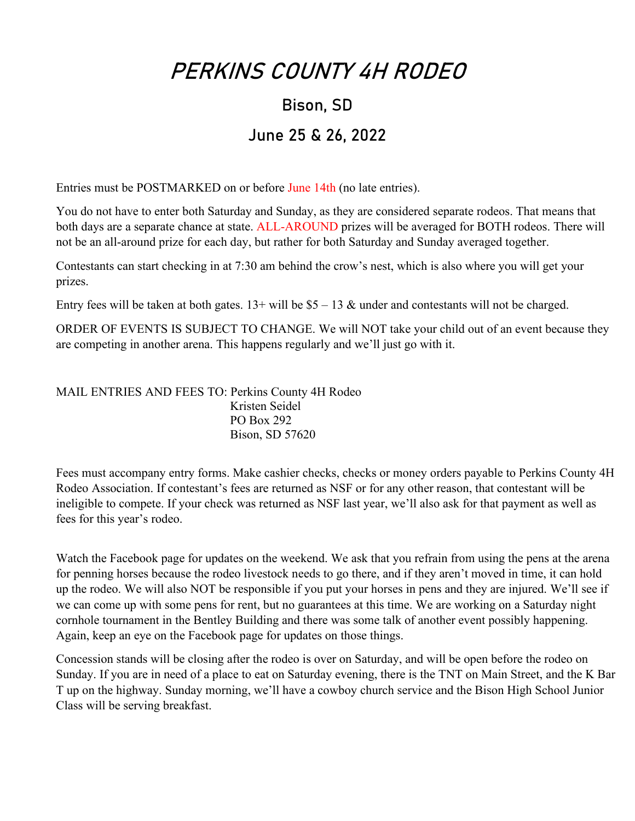### PERKINS COUNTY 4H RODEO

# Bison, SD

### June 25 & 26, 2022

Entries must be POSTMARKED on or before June 14th (no late entries).

You do not have to enter both Saturday and Sunday, as they are considered separate rodeos. That means that both days are a separate chance at state. ALL-AROUND prizes will be averaged for BOTH rodeos. There will not be an all-around prize for each day, but rather for both Saturday and Sunday averaged together.

Contestants can start checking in at 7:30 am behind the crow's nest, which is also where you will get your prizes.

Entry fees will be taken at both gates.  $13+$  will be  $$5-13$  & under and contestants will not be charged.

ORDER OF EVENTS IS SUBJECT TO CHANGE. We will NOT take your child out of an event because they are competing in another arena. This happens regularly and we'll just go with it.

MAIL ENTRIES AND FEES TO: Perkins County 4H Rodeo Kristen Seidel PO Box 292 Bison, SD 57620

Fees must accompany entry forms. Make cashier checks, checks or money orders payable to Perkins County 4H Rodeo Association. If contestant's fees are returned as NSF or for any other reason, that contestant will be ineligible to compete. If your check was returned as NSF last year, we'll also ask for that payment as well as fees for this year's rodeo.

Watch the Facebook page for updates on the weekend. We ask that you refrain from using the pens at the arena for penning horses because the rodeo livestock needs to go there, and if they aren't moved in time, it can hold up the rodeo. We will also NOT be responsible if you put your horses in pens and they are injured. We'll see if we can come up with some pens for rent, but no guarantees at this time. We are working on a Saturday night cornhole tournament in the Bentley Building and there was some talk of another event possibly happening. Again, keep an eye on the Facebook page for updates on those things.

Concession stands will be closing after the rodeo is over on Saturday, and will be open before the rodeo on Sunday. If you are in need of a place to eat on Saturday evening, there is the TNT on Main Street, and the K Bar T up on the highway. Sunday morning, we'll have a cowboy church service and the Bison High School Junior Class will be serving breakfast.